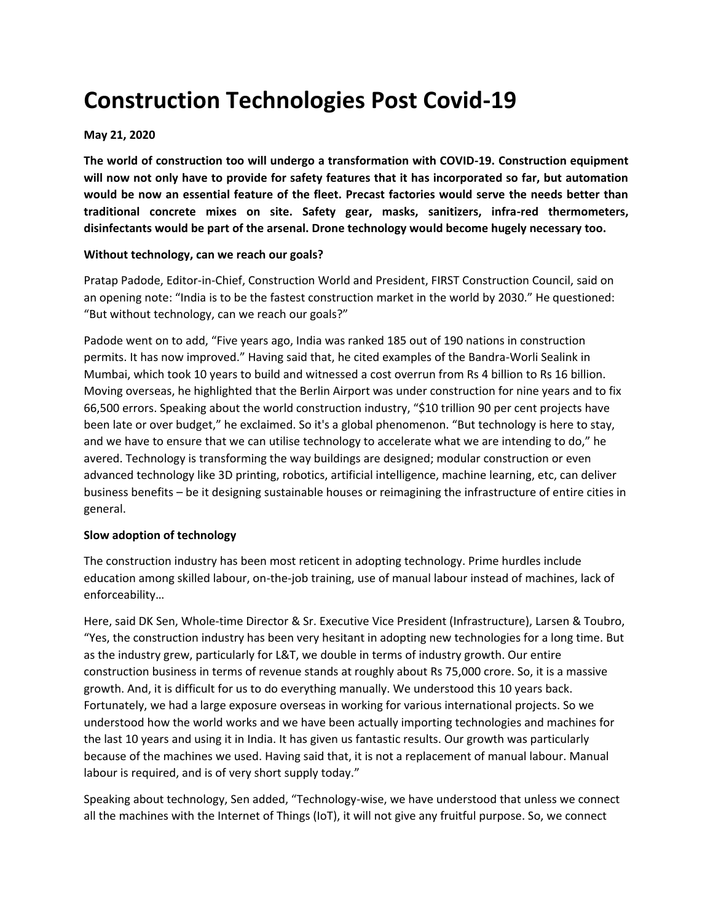# **Construction Technologies Post Covid-19**

# **May 21, 2020**

**The world of construction too will undergo a transformation with COVID-19. Construction equipment will now not only have to provide for safety features that it has incorporated so far, but automation would be now an essential feature of the fleet. Precast factories would serve the needs better than traditional concrete mixes on site. Safety gear, masks, sanitizers, infra-red thermometers, disinfectants would be part of the arsenal. Drone technology would become hugely necessary too.**

#### **Without technology, can we reach our goals?**

Pratap Padode, Editor-in-Chief, Construction World and President, FIRST Construction Council, said on an opening note: "India is to be the fastest construction market in the world by 2030." He questioned: "But without technology, can we reach our goals?"

Padode went on to add, "Five years ago, India was ranked 185 out of 190 nations in construction permits. It has now improved." Having said that, he cited examples of the Bandra-Worli Sealink in Mumbai, which took 10 years to build and witnessed a cost overrun from Rs 4 billion to Rs 16 billion. Moving overseas, he highlighted that the Berlin Airport was under construction for nine years and to fix 66,500 errors. Speaking about the world construction industry, "\$10 trillion 90 per cent projects have been late or over budget," he exclaimed. So it's a global phenomenon. "But technology is here to stay, and we have to ensure that we can utilise technology to accelerate what we are intending to do," he avered. Technology is transforming the way buildings are designed; modular construction or even advanced technology like 3D printing, robotics, artificial intelligence, machine learning, etc, can deliver business benefits – be it designing sustainable houses or reimagining the infrastructure of entire cities in general.

## **Slow adoption of technology**

The construction industry has been most reticent in adopting technology. Prime hurdles include education among skilled labour, on-the-job training, use of manual labour instead of machines, lack of enforceability…

Here, said DK Sen, Whole-time Director & Sr. Executive Vice President (Infrastructure), Larsen & Toubro, "Yes, the construction industry has been very hesitant in adopting new technologies for a long time. But as the industry grew, particularly for L&T, we double in terms of industry growth. Our entire construction business in terms of revenue stands at roughly about Rs 75,000 crore. So, it is a massive growth. And, it is difficult for us to do everything manually. We understood this 10 years back. Fortunately, we had a large exposure overseas in working for various international projects. So we understood how the world works and we have been actually importing technologies and machines for the last 10 years and using it in India. It has given us fantastic results. Our growth was particularly because of the machines we used. Having said that, it is not a replacement of manual labour. Manual labour is required, and is of very short supply today."

Speaking about technology, Sen added, "Technology-wise, we have understood that unless we connect all the machines with the Internet of Things (IoT), it will not give any fruitful purpose. So, we connect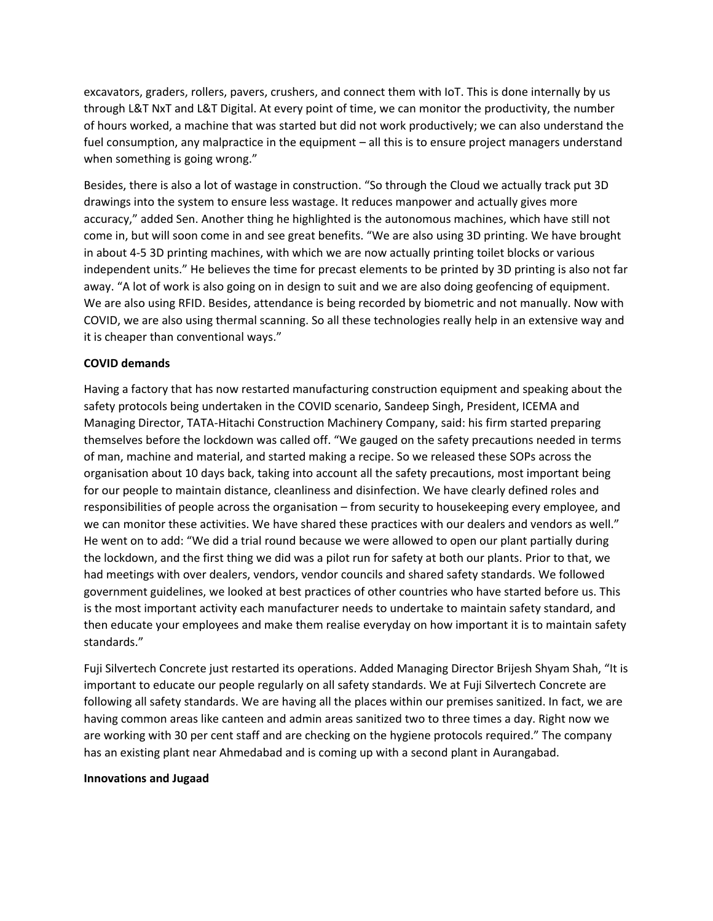excavators, graders, rollers, pavers, crushers, and connect them with IoT. This is done internally by us through L&T NxT and L&T Digital. At every point of time, we can monitor the productivity, the number of hours worked, a machine that was started but did not work productively; we can also understand the fuel consumption, any malpractice in the equipment – all this is to ensure project managers understand when something is going wrong."

Besides, there is also a lot of wastage in construction. "So through the Cloud we actually track put 3D drawings into the system to ensure less wastage. It reduces manpower and actually gives more accuracy," added Sen. Another thing he highlighted is the autonomous machines, which have still not come in, but will soon come in and see great benefits. "We are also using 3D printing. We have brought in about 4-5 3D printing machines, with which we are now actually printing toilet blocks or various independent units." He believes the time for precast elements to be printed by 3D printing is also not far away. "A lot of work is also going on in design to suit and we are also doing geofencing of equipment. We are also using RFID. Besides, attendance is being recorded by biometric and not manually. Now with COVID, we are also using thermal scanning. So all these technologies really help in an extensive way and it is cheaper than conventional ways."

## **COVID demands**

Having a factory that has now restarted manufacturing construction equipment and speaking about the safety protocols being undertaken in the COVID scenario, Sandeep Singh, President, ICEMA and Managing Director, TATA-Hitachi Construction Machinery Company, said: his firm started preparing themselves before the lockdown was called off. "We gauged on the safety precautions needed in terms of man, machine and material, and started making a recipe. So we released these SOPs across the organisation about 10 days back, taking into account all the safety precautions, most important being for our people to maintain distance, cleanliness and disinfection. We have clearly defined roles and responsibilities of people across the organisation – from security to housekeeping every employee, and we can monitor these activities. We have shared these practices with our dealers and vendors as well." He went on to add: "We did a trial round because we were allowed to open our plant partially during the lockdown, and the first thing we did was a pilot run for safety at both our plants. Prior to that, we had meetings with over dealers, vendors, vendor councils and shared safety standards. We followed government guidelines, we looked at best practices of other countries who have started before us. This is the most important activity each manufacturer needs to undertake to maintain safety standard, and then educate your employees and make them realise everyday on how important it is to maintain safety standards."

Fuji Silvertech Concrete just restarted its operations. Added Managing Director Brijesh Shyam Shah, "It is important to educate our people regularly on all safety standards. We at Fuji Silvertech Concrete are following all safety standards. We are having all the places within our premises sanitized. In fact, we are having common areas like canteen and admin areas sanitized two to three times a day. Right now we are working with 30 per cent staff and are checking on the hygiene protocols required." The company has an existing plant near Ahmedabad and is coming up with a second plant in Aurangabad.

#### **Innovations and Jugaad**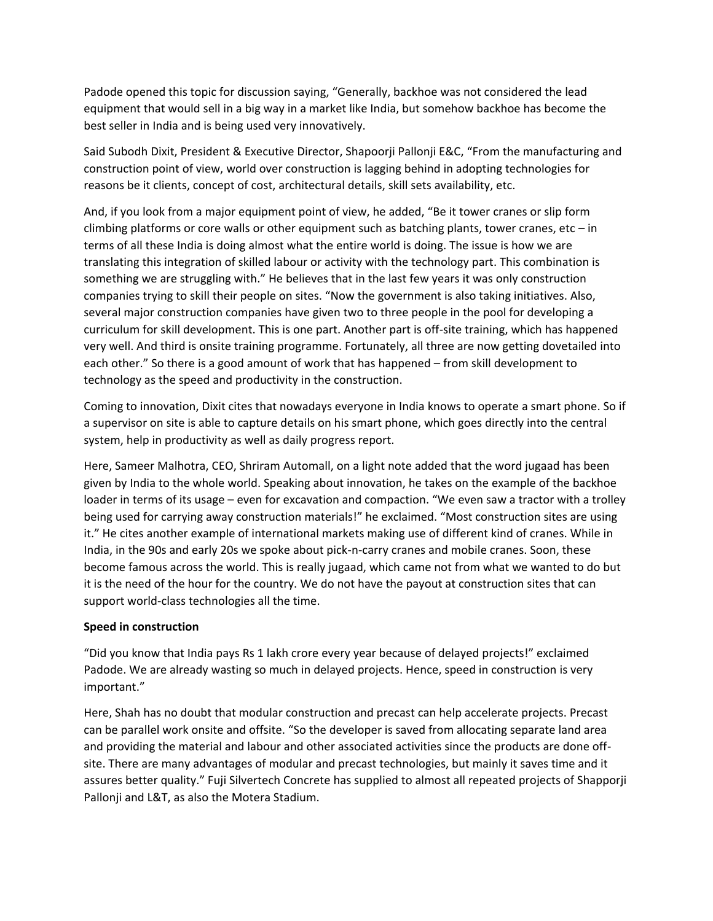Padode opened this topic for discussion saying, "Generally, backhoe was not considered the lead equipment that would sell in a big way in a market like India, but somehow backhoe has become the best seller in India and is being used very innovatively.

Said Subodh Dixit, President & Executive Director, Shapoorji Pallonji E&C, "From the manufacturing and construction point of view, world over construction is lagging behind in adopting technologies for reasons be it clients, concept of cost, architectural details, skill sets availability, etc.

And, if you look from a major equipment point of view, he added, "Be it tower cranes or slip form climbing platforms or core walls or other equipment such as batching plants, tower cranes, etc  $-$  in terms of all these India is doing almost what the entire world is doing. The issue is how we are translating this integration of skilled labour or activity with the technology part. This combination is something we are struggling with." He believes that in the last few years it was only construction companies trying to skill their people on sites. "Now the government is also taking initiatives. Also, several major construction companies have given two to three people in the pool for developing a curriculum for skill development. This is one part. Another part is off-site training, which has happened very well. And third is onsite training programme. Fortunately, all three are now getting dovetailed into each other." So there is a good amount of work that has happened – from skill development to technology as the speed and productivity in the construction.

Coming to innovation, Dixit cites that nowadays everyone in India knows to operate a smart phone. So if a supervisor on site is able to capture details on his smart phone, which goes directly into the central system, help in productivity as well as daily progress report.

Here, Sameer Malhotra, CEO, Shriram Automall, on a light note added that the word jugaad has been given by India to the whole world. Speaking about innovation, he takes on the example of the backhoe loader in terms of its usage – even for excavation and compaction. "We even saw a tractor with a trolley being used for carrying away construction materials!" he exclaimed. "Most construction sites are using it." He cites another example of international markets making use of different kind of cranes. While in India, in the 90s and early 20s we spoke about pick-n-carry cranes and mobile cranes. Soon, these become famous across the world. This is really jugaad, which came not from what we wanted to do but it is the need of the hour for the country. We do not have the payout at construction sites that can support world-class technologies all the time.

## **Speed in construction**

"Did you know that India pays Rs 1 lakh crore every year because of delayed projects!" exclaimed Padode. We are already wasting so much in delayed projects. Hence, speed in construction is very important."

Here, Shah has no doubt that modular construction and precast can help accelerate projects. Precast can be parallel work onsite and offsite. "So the developer is saved from allocating separate land area and providing the material and labour and other associated activities since the products are done offsite. There are many advantages of modular and precast technologies, but mainly it saves time and it assures better quality." Fuji Silvertech Concrete has supplied to almost all repeated projects of Shapporji Pallonji and L&T, as also the Motera Stadium.